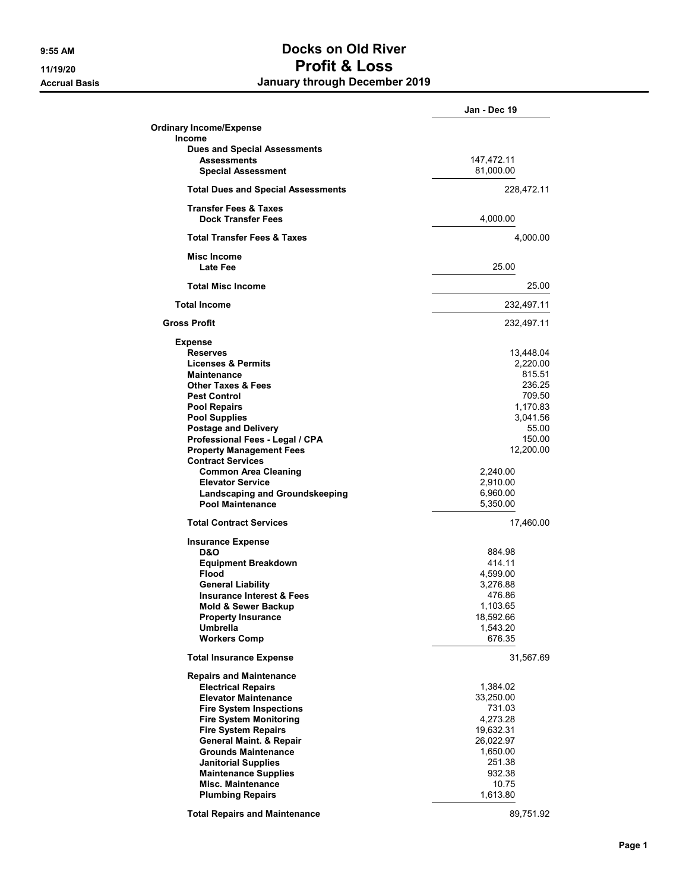## 9:55 AM Docks on Old River 11/19/20 Profit & Loss Accrual Basis **Accrual Basis January through December 2019**

|                                           | Jan - Dec 19 |
|-------------------------------------------|--------------|
| <b>Ordinary Income/Expense</b>            |              |
| <b>Income</b>                             |              |
| <b>Dues and Special Assessments</b>       |              |
| <b>Assessments</b>                        | 147,472.11   |
| <b>Special Assessment</b>                 | 81,000.00    |
| <b>Total Dues and Special Assessments</b> | 228,472.11   |
| <b>Transfer Fees &amp; Taxes</b>          |              |
| <b>Dock Transfer Fees</b>                 | 4,000.00     |
| <b>Total Transfer Fees &amp; Taxes</b>    | 4,000.00     |
| Misc Income<br>Late Fee                   | 25.00        |
| <b>Total Misc Income</b>                  | 25.00        |
| <b>Total Income</b>                       | 232,497.11   |
| <b>Gross Profit</b>                       | 232,497.11   |
| <b>Expense</b>                            |              |
| <b>Reserves</b>                           | 13,448.04    |
| <b>Licenses &amp; Permits</b>             | 2,220.00     |
| <b>Maintenance</b>                        | 815.51       |
| <b>Other Taxes &amp; Fees</b>             | 236.25       |
| <b>Pest Control</b>                       | 709.50       |
| <b>Pool Repairs</b>                       | 1,170.83     |
| <b>Pool Supplies</b>                      | 3,041.56     |
| <b>Postage and Delivery</b>               | 55.00        |
| Professional Fees - Legal / CPA           | 150.00       |
| <b>Property Management Fees</b>           | 12,200.00    |
| <b>Contract Services</b>                  |              |
| <b>Common Area Cleaning</b>               | 2,240.00     |
| <b>Elevator Service</b>                   | 2,910.00     |
| Landscaping and Groundskeeping            | 6,960.00     |
| Pool Maintenance                          | 5,350.00     |
| <b>Total Contract Services</b>            | 17,460.00    |
| <b>Insurance Expense</b>                  |              |
| D&O                                       | 884.98       |
| <b>Equipment Breakdown</b>                | 414.11       |
| <b>Flood</b>                              | 4,599.00     |
| <b>General Liability</b>                  | 3,276.88     |
| <b>Insurance Interest &amp; Fees</b>      | 476.86       |
| <b>Mold &amp; Sewer Backup</b>            | 1,103.65     |
| <b>Property Insurance</b>                 | 18,592.66    |
| <b>Umbrella</b>                           | 1,543.20     |
| <b>Workers Comp</b>                       | 676.35       |
| <b>Total Insurance Expense</b>            | 31,567.69    |
| <b>Repairs and Maintenance</b>            |              |
| <b>Electrical Repairs</b>                 | 1,384.02     |
| <b>Elevator Maintenance</b>               | 33,250.00    |
| <b>Fire System Inspections</b>            | 731.03       |
| <b>Fire System Monitoring</b>             | 4,273.28     |
| <b>Fire System Repairs</b>                | 19,632.31    |
| <b>General Maint. &amp; Repair</b>        | 26,022.97    |
| <b>Grounds Maintenance</b>                | 1,650.00     |
| <b>Janitorial Supplies</b>                | 251.38       |
| <b>Maintenance Supplies</b>               | 932.38       |
| <b>Misc. Maintenance</b>                  | 10.75        |
| <b>Plumbing Repairs</b>                   | 1,613.80     |
| <b>Total Repairs and Maintenance</b>      | 89,751.92    |